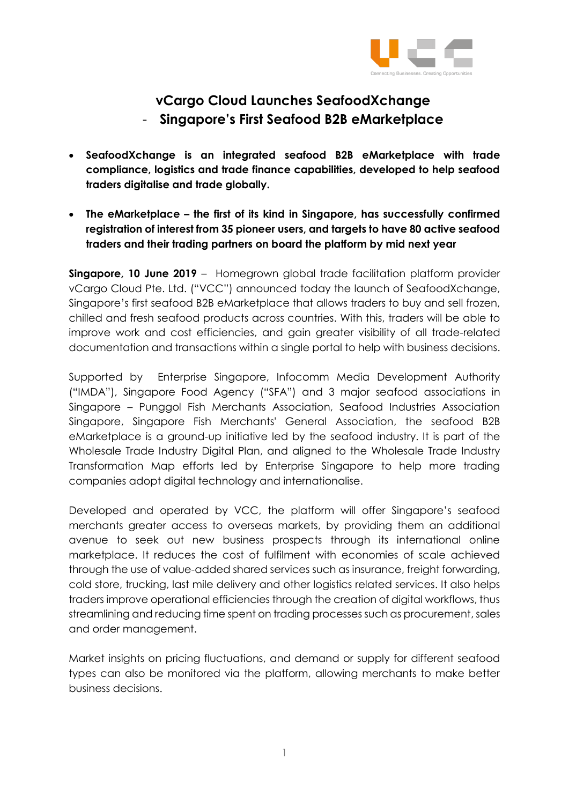

## **vCargo Cloud Launches SeafoodXchange** - **Singapore's First Seafood B2B eMarketplace**

- **SeafoodXchange is an integrated seafood B2B eMarketplace with trade compliance, logistics and trade finance capabilities, developed to help seafood traders digitalise and trade globally.**
- **The eMarketplace – the first of its kind in Singapore, has successfully confirmed registration of interest from 35 pioneer users, and targets to have 80 active seafood traders and their trading partners on board the platform by mid next year**

**Singapore, 10 June 2019** – Homegrown global trade facilitation platform provider vCargo Cloud Pte. Ltd. ("VCC") announced today the launch of SeafoodXchange, Singapore's first seafood B2B eMarketplace that allows traders to buy and sell frozen, chilled and fresh seafood products across countries. With this, traders will be able to improve work and cost efficiencies, and gain greater visibility of all trade-related documentation and transactions within a single portal to help with business decisions.

Supported by Enterprise Singapore, Infocomm Media Development Authority ("IMDA"), Singapore Food Agency ("SFA") and 3 major seafood associations in Singapore – Punggol Fish Merchants Association, Seafood Industries Association Singapore, Singapore Fish Merchants' General Association, the seafood B2B eMarketplace is a ground-up initiative led by the seafood industry. It is part of the Wholesale Trade Industry Digital Plan, and aligned to the Wholesale Trade Industry Transformation Map efforts led by Enterprise Singapore to help more trading companies adopt digital technology and internationalise.

Developed and operated by VCC, the platform will offer Singapore's seafood merchants greater access to overseas markets, by providing them an additional avenue to seek out new business prospects through its international online marketplace. It reduces the cost of fulfilment with economies of scale achieved through the use of value-added shared services such as insurance, freight forwarding, cold store, trucking, last mile delivery and other logistics related services. It also helps traders improve operational efficiencies through the creation of digital workflows, thus streamlining and reducing time spent on trading processes such as procurement, sales and order management.

Market insights on pricing fluctuations, and demand or supply for different seafood types can also be monitored via the platform, allowing merchants to make better business decisions.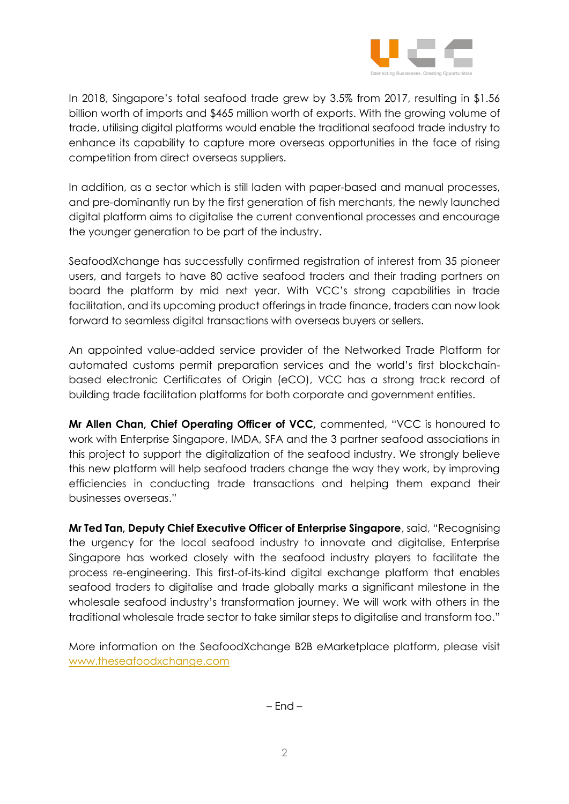

In 2018, Singapore's total seafood trade grew by 3.5% from 2017, resulting in \$1.56 billion worth of imports and \$465 million worth of exports. With the growing volume of trade, utilising digital platforms would enable the traditional seafood trade industry to enhance its capability to capture more overseas opportunities in the face of rising competition from direct overseas suppliers.

In addition, as a sector which is still laden with paper-based and manual processes, and pre-dominantly run by the first generation of fish merchants, the newly launched digital platform aims to digitalise the current conventional processes and encourage the younger generation to be part of the industry.

SeafoodXchange has successfully confirmed registration of interest from 35 pioneer users, and targets to have 80 active seafood traders and their trading partners on board the platform by mid next year. With VCC's strong capabilities in trade facilitation, and its upcoming product offerings in trade finance, traders can now look forward to seamless digital transactions with overseas buyers or sellers.

An appointed value-added service provider of the Networked Trade Platform for automated customs permit preparation services and the world's first blockchainbased electronic Certificates of Origin (eCO), VCC has a strong track record of building trade facilitation platforms for both corporate and government entities.

**Mr Allen Chan, Chief Operating Officer of VCC,** commented, "VCC is honoured to work with Enterprise Singapore, IMDA, SFA and the 3 partner seafood associations in this project to support the digitalization of the seafood industry. We strongly believe this new platform will help seafood traders change the way they work, by improving efficiencies in conducting trade transactions and helping them expand their businesses overseas."

**Mr Ted Tan, Deputy Chief Executive Officer of Enterprise Singapore**, said, "Recognising the urgency for the local seafood industry to innovate and digitalise, Enterprise Singapore has worked closely with the seafood industry players to facilitate the process re-engineering. This first-of-its-kind digital exchange platform that enables seafood traders to digitalise and trade globally marks a significant milestone in the wholesale seafood industry's transformation journey. We will work with others in the traditional wholesale trade sector to take similar steps to digitalise and transform too."

More information on the SeafoodXchange B2B eMarketplace platform, please visit [www.theseafoodxchange.com](http://www.theseafoodxchange.com/)

 $-$  End  $-$